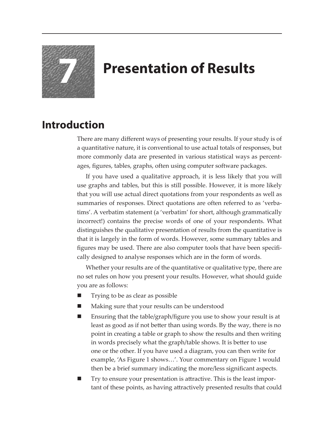

## **7 Presentation of Results**

## **Introduction**

There are many different ways of presenting your results. If your study is of a quantitative nature, it is conventional to use actual totals of responses, but more commonly data are presented in various statistical ways as percentages, figures, tables, graphs, often using computer software packages.

If you have used a qualitative approach, it is less likely that you will use graphs and tables, but this is still possible. However, it is more likely that you will use actual direct quotations from your respondents as well as summaries of responses. Direct quotations are often referred to as 'verbatims'. A verbatim statement (a 'verbatim' for short, although grammatically incorrect!) contains the precise words of one of your respondents. What distinguishes the qualitative presentation of results from the quantitative is that it is largely in the form of words. However, some summary tables and figures may be used. There are also computer tools that have been specifically designed to analyse responses which are in the form of words.

Whether your results are of the quantitative or qualitative type, there are no set rules on how you present your results. However, what should guide you are as follows:

- Trying to be as clear as possible
- Making sure that your results can be understood
- Ensuring that the table/graph/figure you use to show your result is at least as good as if not better than using words. By the way, there is no point in creating a table or graph to show the results and then writing in words precisely what the graph/table shows. It is better to use one or the other. If you have used a diagram, you can then write for example, 'As Figure 1 shows…'. Your commentary on Figure 1 would then be a brief summary indicating the more/less significant aspects.
- Try to ensure your presentation is attractive. This is the least important of these points, as having attractively presented results that could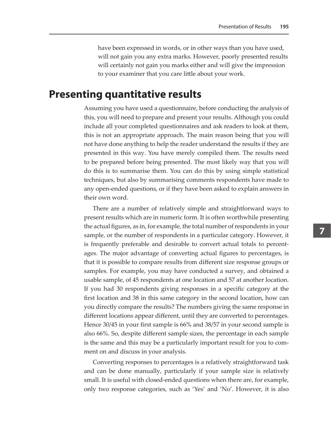have been expressed in words, or in other ways than you have used, will not gain you any extra marks. However, poorly presented results will certainly not gain you marks either and will give the impression to your examiner that you care little about your work.

## **Presenting quantitative results**

Assuming you have used a questionnaire, before conducting the analysis of this, you will need to prepare and present your results. Although you could include all your completed questionnaires and ask readers to look at them, this is not an appropriate approach. The main reason being that you will not have done anything to help the reader understand the results if they are presented in this way. You have merely compiled them. The results need to be prepared before being presented. The most likely way that you will do this is to summarise them. You can do this by using simple statistical techniques, but also by summarising comments respondents have made to any open-ended questions, or if they have been asked to explain answers in their own word.

There are a number of relatively simple and straightforward ways to present results which are in numeric form. It is often worthwhile presenting the actual figures, as in, for example, the total number of respondents in your sample, or the number of respondents in a particular category. However, it is frequently preferable and desirable to convert actual totals to percentages. The major advantage of converting actual figures to percentages, is that it is possible to compare results from different size response groups or samples. For example, you may have conducted a survey, and obtained a usable sample, of 45 respondents at one location and 57 at another location. If you had 30 respondents giving responses in a specific category at the first location and 38 in this same category in the second location, how can you directly compare the results? The numbers giving the same response in different locations appear different, until they are converted to percentages. Hence 30/45 in your first sample is 66% and 38/57 in your second sample is also 66%. So, despite different sample sizes, the percentage in each sample is the same and this may be a particularly important result for you to comment on and discuss in your analysis.

Converting responses to percentages is a relatively straightforward task and can be done manually, particularly if your sample size is relatively small. It is useful with closed-ended questions when there are, for example, only two response categories, such as 'Yes' and 'No'. However, it is also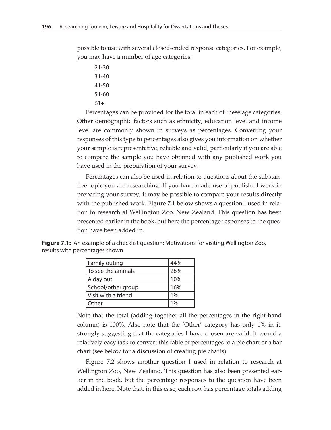possible to use with several closed-ended response categories. For example, you may have a number of age categories:

- 21-30
- 31-40
- 41-50
- 51-60 61+

Percentages can be provided for the total in each of these age categories. Other demographic factors such as ethnicity, education level and income level are commonly shown in surveys as percentages. Converting your responses of this type to percentages also gives you information on whether your sample is representative, reliable and valid, particularly if you are able

Percentages can also be used in relation to questions about the substantive topic you are researching. If you have made use of published work in preparing your survey, it may be possible to compare your results directly with the published work. Figure 7.1 below shows a question I used in relation to research at Wellington Zoo, New Zealand. This question has been presented earlier in the book, but here the percentage responses to the question have been added in.

to compare the sample you have obtained with any published work you

**Figure 7.1:** An example of a checklist question: Motivations for visiting Wellington Zoo, results with percentages shown

| Family outing       | 44% |
|---------------------|-----|
| To see the animals  | 28% |
| A day out           | 10% |
| School/other group  | 16% |
| Visit with a friend | 1%  |
| Other               |     |

have used in the preparation of your survey.

Note that the total (adding together all the percentages in the right-hand column) is 100%. Also note that the 'Other' category has only 1% in it, strongly suggesting that the categories I have chosen are valid. It would a relatively easy task to convert this table of percentages to a pie chart or a bar chart (see below for a discussion of creating pie charts).

Figure 7.2 shows another question I used in relation to research at Wellington Zoo, New Zealand. This question has also been presented earlier in the book, but the percentage responses to the question have been added in here. Note that, in this case, each row has percentage totals adding